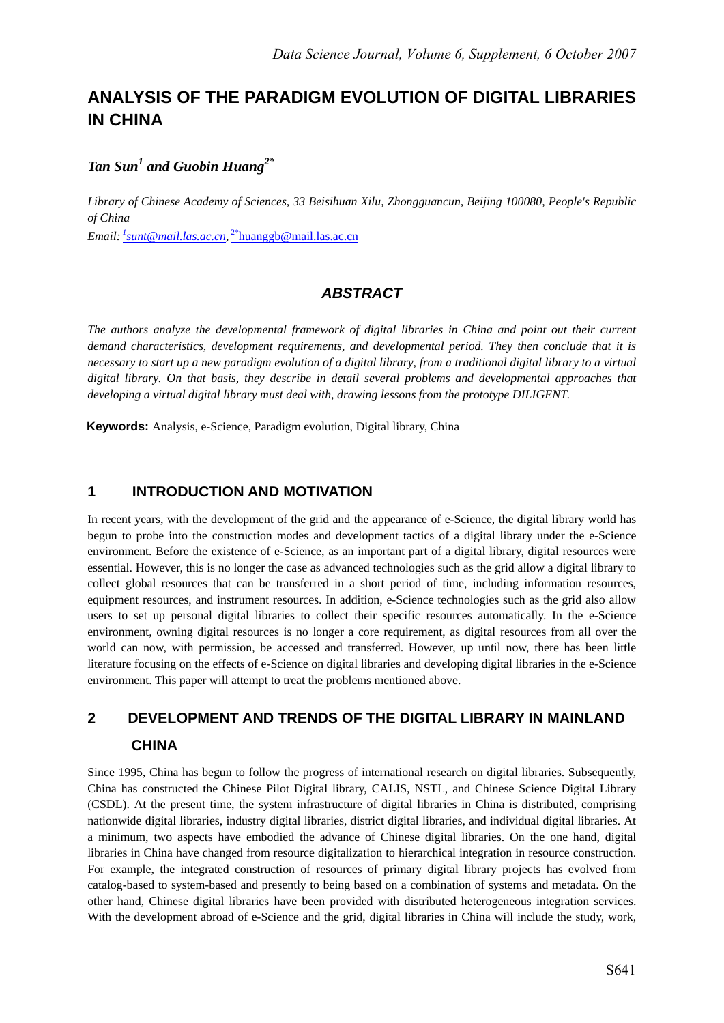# **ANALYSIS OF THE PARADIGM EVOLUTION OF DIGITAL LIBRARIES IN CHINA**

# *Tan Sun1 and Guobin Huang2\**

*Library of Chinese Academy of Sciences, 33 Beisihuan Xilu, Zhongguancun, Beijing 100080, People's Republic of China Email: <sup>1</sup> sunt@mail.las.ac.cn,* 2\*huanggb@mail.las.ac.cn

# *ABSTRACT*

*The authors analyze the developmental framework of digital libraries in China and point out their current demand characteristics, development requirements, and developmental period. They then conclude that it is necessary to start up a new paradigm evolution of a digital library, from a traditional digital library to a virtual digital library. On that basis, they describe in detail several problems and developmental approaches that developing a virtual digital library must deal with, drawing lessons from the prototype DILIGENT.* 

**Keywords:** Analysis, e-Science, Paradigm evolution, Digital library, China

### **1 INTRODUCTION AND MOTIVATION**

In recent years, with the development of the grid and the appearance of e-Science, the digital library world has begun to probe into the construction modes and development tactics of a digital library under the e-Science environment. Before the existence of e-Science, as an important part of a digital library, digital resources were essential. However, this is no longer the case as advanced technologies such as the grid allow a digital library to collect global resources that can be transferred in a short period of time, including information resources, equipment resources, and instrument resources. In addition, e-Science technologies such as the grid also allow users to set up personal digital libraries to collect their specific resources automatically. In the e-Science environment, owning digital resources is no longer a core requirement, as digital resources from all over the world can now, with permission, be accessed and transferred. However, up until now, there has been little literature focusing on the effects of e-Science on digital libraries and developing digital libraries in the e-Science environment. This paper will attempt to treat the problems mentioned above.

# **2 DEVELOPMENT AND TRENDS OF THE DIGITAL LIBRARY IN MAINLAND CHINA**

Since 1995, China has begun to follow the progress of international research on digital libraries. Subsequently, China has constructed the Chinese Pilot Digital library, CALIS, NSTL, and Chinese Science Digital Library (CSDL). At the present time, the system infrastructure of digital libraries in China is distributed, comprising nationwide digital libraries, industry digital libraries, district digital libraries, and individual digital libraries. At a minimum, two aspects have embodied the advance of Chinese digital libraries. On the one hand, digital libraries in China have changed from resource digitalization to hierarchical integration in resource construction. For example, the integrated construction of resources of primary digital library projects has evolved from catalog-based to system-based and presently to being based on a combination of systems and metadata. On the other hand, Chinese digital libraries have been provided with distributed heterogeneous integration services. With the development abroad of e-Science and the grid, digital libraries in China will include the study, work,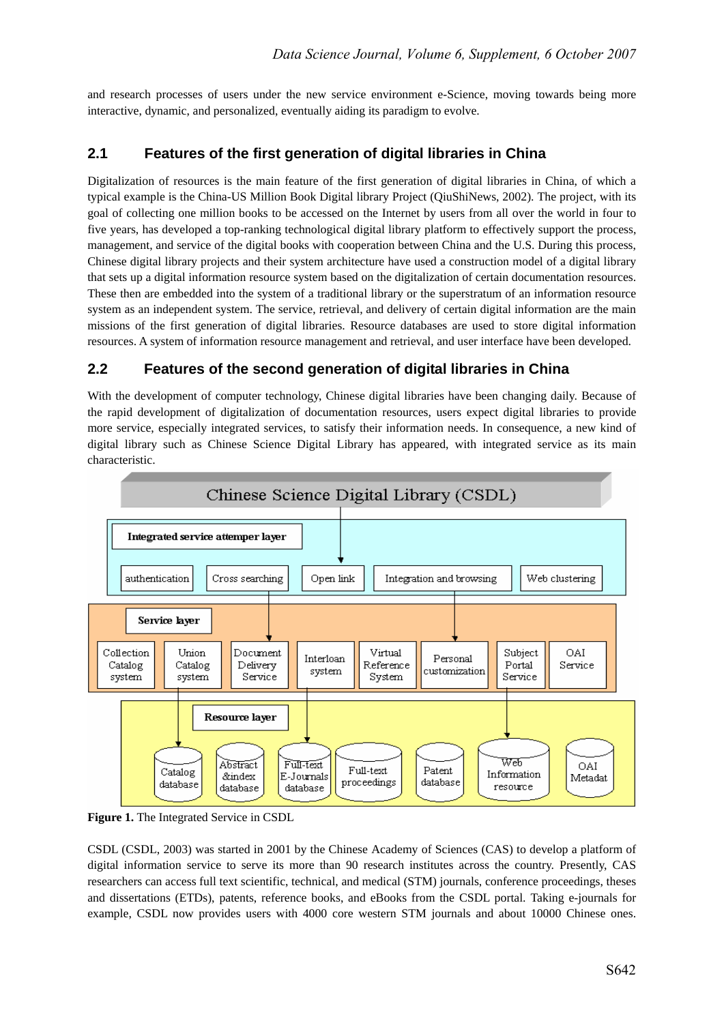and research processes of users under the new service environment e-Science, moving towards being more interactive, dynamic, and personalized, eventually aiding its paradigm to evolve.

# **2.1 Features of the first generation of digital libraries in China**

Digitalization of resources is the main feature of the first generation of digital libraries in China, of which a typical example is the China-US Million Book Digital library Project (QiuShiNews, 2002). The project, with its goal of collecting one million books to be accessed on the Internet by users from all over the world in four to five years, has developed a top-ranking technological digital library platform to effectively support the process, management, and service of the digital books with cooperation between China and the U.S. During this process, Chinese digital library projects and their system architecture have used a construction model of a digital library that sets up a digital information resource system based on the digitalization of certain documentation resources. These then are embedded into the system of a traditional library or the superstratum of an information resource system as an independent system. The service, retrieval, and delivery of certain digital information are the main missions of the first generation of digital libraries. Resource databases are used to store digital information resources. A system of information resource management and retrieval, and user interface have been developed.

# **2.2 Features of the second generation of digital libraries in China**

With the development of computer technology, Chinese digital libraries have been changing daily. Because of the rapid development of digitalization of documentation resources, users expect digital libraries to provide more service, especially integrated services, to satisfy their information needs. In consequence, a new kind of digital library such as Chinese Science Digital Library has appeared, with integrated service as its main characteristic.



**Figure 1.** The Integrated Service in CSDL

CSDL (CSDL, 2003) was started in 2001 by the Chinese Academy of Sciences (CAS) to develop a platform of digital information service to serve its more than 90 research institutes across the country. Presently, CAS researchers can access full text scientific, technical, and medical (STM) journals, conference proceedings, theses and dissertations (ETDs), patents, reference books, and eBooks from the CSDL portal. Taking e-journals for example, CSDL now provides users with 4000 core western STM journals and about 10000 Chinese ones.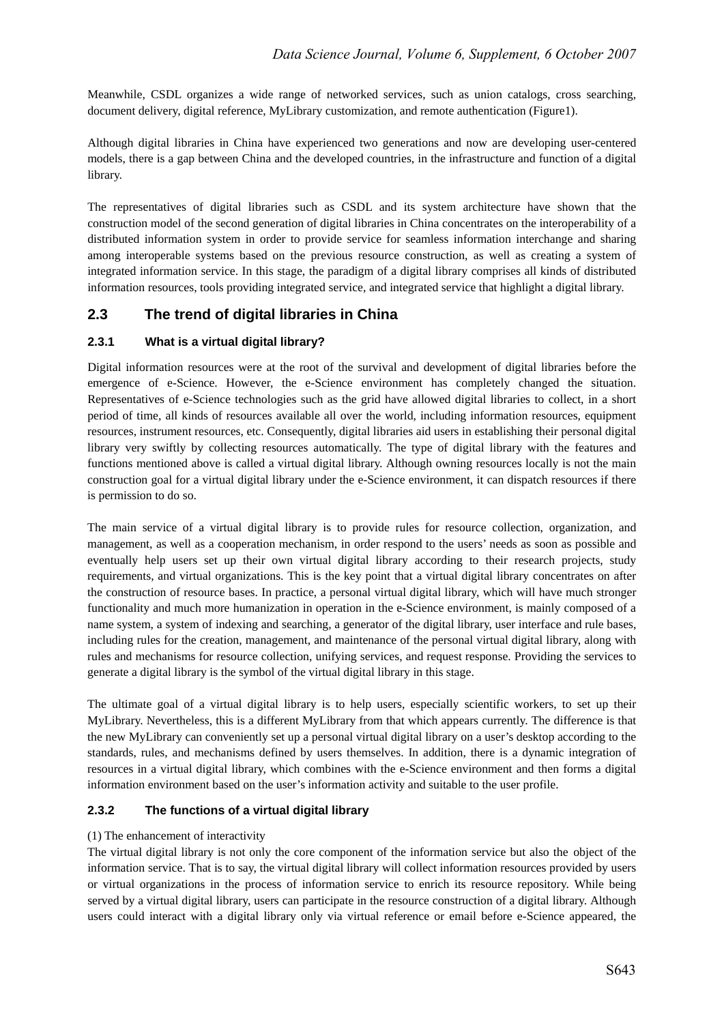Meanwhile, CSDL organizes a wide range of networked services, such as union catalogs, cross searching, document delivery, digital reference, MyLibrary customization, and remote authentication (Figure1).

Although digital libraries in China have experienced two generations and now are developing user-centered models, there is a gap between China and the developed countries, in the infrastructure and function of a digital library.

The representatives of digital libraries such as CSDL and its system architecture have shown that the construction model of the second generation of digital libraries in China concentrates on the interoperability of a distributed information system in order to provide service for seamless information interchange and sharing among interoperable systems based on the previous resource construction, as well as creating a system of integrated information service. In this stage, the paradigm of a digital library comprises all kinds of distributed information resources, tools providing integrated service, and integrated service that highlight a digital library.

# **2.3 The trend of digital libraries in China**

### **2.3.1 What is a virtual digital library?**

Digital information resources were at the root of the survival and development of digital libraries before the emergence of e-Science. However, the e-Science environment has completely changed the situation. Representatives of e-Science technologies such as the grid have allowed digital libraries to collect, in a short period of time, all kinds of resources available all over the world, including information resources, equipment resources, instrument resources, etc. Consequently, digital libraries aid users in establishing their personal digital library very swiftly by collecting resources automatically. The type of digital library with the features and functions mentioned above is called a virtual digital library. Although owning resources locally is not the main construction goal for a virtual digital library under the e-Science environment, it can dispatch resources if there is permission to do so.

The main service of a virtual digital library is to provide rules for resource collection, organization, and management, as well as a cooperation mechanism, in order respond to the users' needs as soon as possible and eventually help users set up their own virtual digital library according to their research projects, study requirements, and virtual organizations. This is the key point that a virtual digital library concentrates on after the construction of resource bases. In practice, a personal virtual digital library, which will have much stronger functionality and much more humanization in operation in the e-Science environment, is mainly composed of a name system, a system of indexing and searching, a generator of the digital library, user interface and rule bases, including rules for the creation, management, and maintenance of the personal virtual digital library, along with rules and mechanisms for resource collection, unifying services, and request response. Providing the services to generate a digital library is the symbol of the virtual digital library in this stage.

The ultimate goal of a virtual digital library is to help users, especially scientific workers, to set up their MyLibrary. Nevertheless, this is a different MyLibrary from that which appears currently. The difference is that the new MyLibrary can conveniently set up a personal virtual digital library on a user's desktop according to the standards, rules, and mechanisms defined by users themselves. In addition, there is a dynamic integration of resources in a virtual digital library, which combines with the e-Science environment and then forms a digital information environment based on the user's information activity and suitable to the user profile.

#### **2.3.2 The functions of a virtual digital library**

#### (1) The enhancement of interactivity

The virtual digital library is not only the core component of the information service but also the object of the information service. That is to say, the virtual digital library will collect information resources provided by users or virtual organizations in the process of information service to enrich its resource repository. While being served by a virtual digital library, users can participate in the resource construction of a digital library. Although users could interact with a digital library only via virtual reference or email before e-Science appeared, the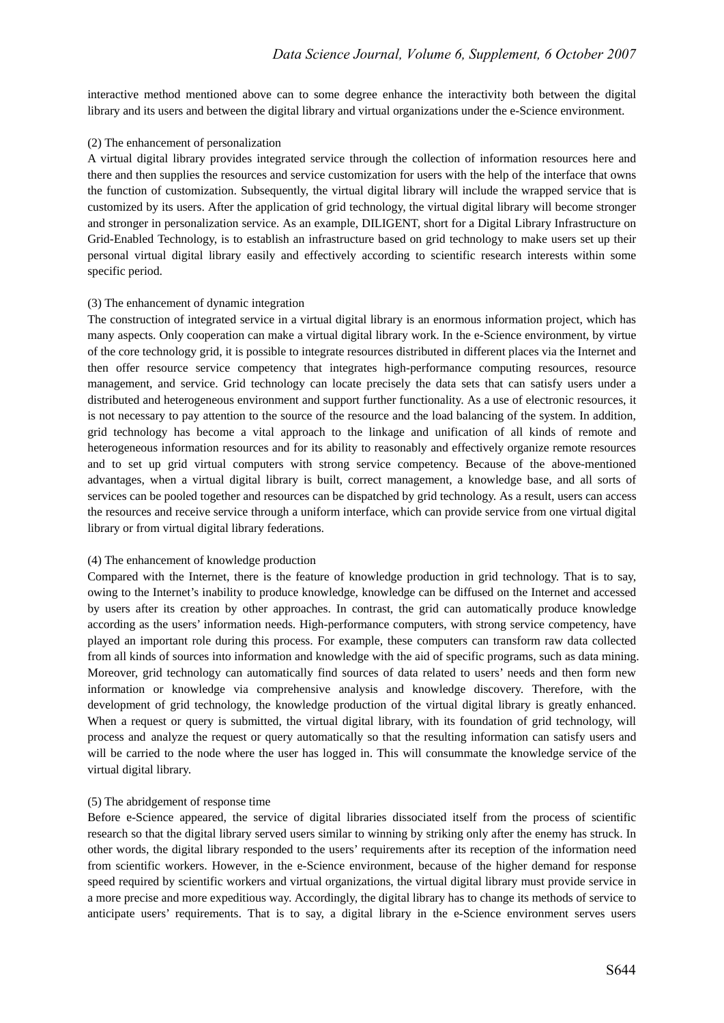interactive method mentioned above can to some degree enhance the interactivity both between the digital library and its users and between the digital library and virtual organizations under the e-Science environment.

#### (2) The enhancement of personalization

A virtual digital library provides integrated service through the collection of information resources here and there and then supplies the resources and service customization for users with the help of the interface that owns the function of customization. Subsequently, the virtual digital library will include the wrapped service that is customized by its users. After the application of grid technology, the virtual digital library will become stronger and stronger in personalization service. As an example, DILIGENT, short for a Digital Library Infrastructure on Grid-Enabled Technology, is to establish an infrastructure based on grid technology to make users set up their personal virtual digital library easily and effectively according to scientific research interests within some specific period.

#### (3) The enhancement of dynamic integration

The construction of integrated service in a virtual digital library is an enormous information project, which has many aspects. Only cooperation can make a virtual digital library work. In the e-Science environment, by virtue of the core technology grid, it is possible to integrate resources distributed in different places via the Internet and then offer resource service competency that integrates high-performance computing resources, resource management, and service. Grid technology can locate precisely the data sets that can satisfy users under a distributed and heterogeneous environment and support further functionality. As a use of electronic resources, it is not necessary to pay attention to the source of the resource and the load balancing of the system. In addition, grid technology has become a vital approach to the linkage and unification of all kinds of remote and heterogeneous information resources and for its ability to reasonably and effectively organize remote resources and to set up grid virtual computers with strong service competency. Because of the above-mentioned advantages, when a virtual digital library is built, correct management, a knowledge base, and all sorts of services can be pooled together and resources can be dispatched by grid technology. As a result, users can access the resources and receive service through a uniform interface, which can provide service from one virtual digital library or from virtual digital library federations.

#### (4) The enhancement of knowledge production

Compared with the Internet, there is the feature of knowledge production in grid technology. That is to say, owing to the Internet's inability to produce knowledge, knowledge can be diffused on the Internet and accessed by users after its creation by other approaches. In contrast, the grid can automatically produce knowledge according as the users' information needs. High-performance computers, with strong service competency, have played an important role during this process. For example, these computers can transform raw data collected from all kinds of sources into information and knowledge with the aid of specific programs, such as data mining. Moreover, grid technology can automatically find sources of data related to users' needs and then form new information or knowledge via comprehensive analysis and knowledge discovery. Therefore, with the development of grid technology, the knowledge production of the virtual digital library is greatly enhanced. When a request or query is submitted, the virtual digital library, with its foundation of grid technology, will process and analyze the request or query automatically so that the resulting information can satisfy users and will be carried to the node where the user has logged in. This will consummate the knowledge service of the virtual digital library.

#### (5) The abridgement of response time

Before e-Science appeared, the service of digital libraries dissociated itself from the process of scientific research so that the digital library served users similar to winning by striking only after the enemy has struck. In other words, the digital library responded to the users' requirements after its reception of the information need from scientific workers. However, in the e-Science environment, because of the higher demand for response speed required by scientific workers and virtual organizations, the virtual digital library must provide service in a more precise and more expeditious way. Accordingly, the digital library has to change its methods of service to anticipate users' requirements. That is to say, a digital library in the e-Science environment serves users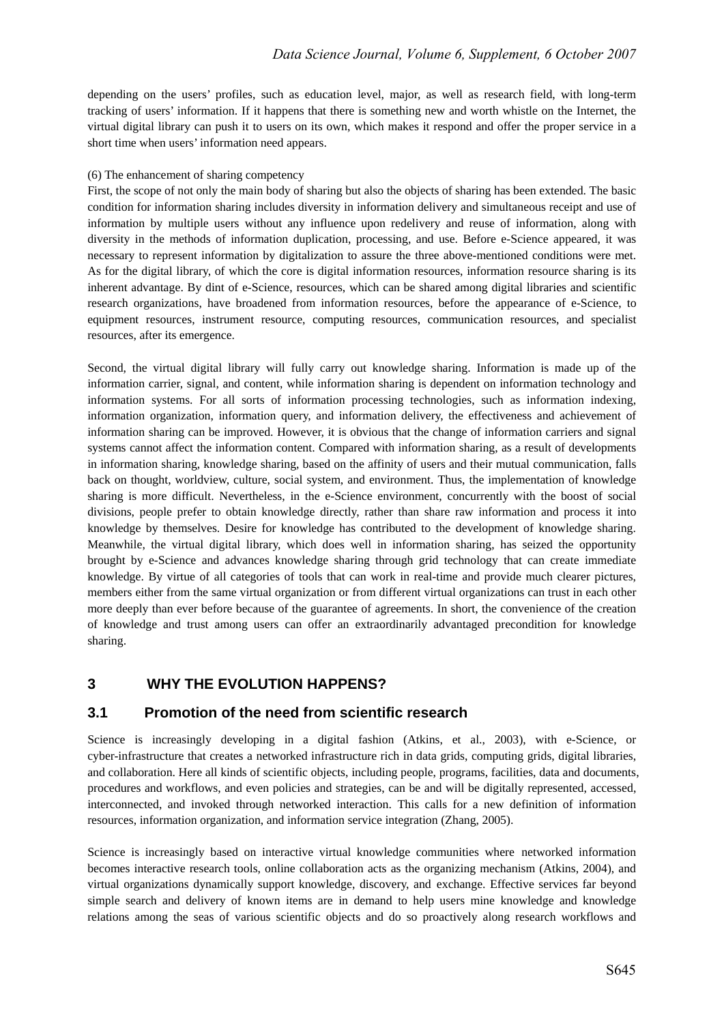depending on the users' profiles, such as education level, major, as well as research field, with long-term tracking of users' information. If it happens that there is something new and worth whistle on the Internet, the virtual digital library can push it to users on its own, which makes it respond and offer the proper service in a short time when users' information need appears.

#### (6) The enhancement of sharing competency

First, the scope of not only the main body of sharing but also the objects of sharing has been extended. The basic condition for information sharing includes diversity in information delivery and simultaneous receipt and use of information by multiple users without any influence upon redelivery and reuse of information, along with diversity in the methods of information duplication, processing, and use. Before e-Science appeared, it was necessary to represent information by digitalization to assure the three above-mentioned conditions were met. As for the digital library, of which the core is digital information resources, information resource sharing is its inherent advantage. By dint of e-Science, resources, which can be shared among digital libraries and scientific research organizations, have broadened from information resources, before the appearance of e-Science, to equipment resources, instrument resource, computing resources, communication resources, and specialist resources, after its emergence.

Second, the virtual digital library will fully carry out knowledge sharing. Information is made up of the information carrier, signal, and content, while information sharing is dependent on information technology and information systems. For all sorts of information processing technologies, such as information indexing, information organization, information query, and information delivery, the effectiveness and achievement of information sharing can be improved. However, it is obvious that the change of information carriers and signal systems cannot affect the information content. Compared with information sharing, as a result of developments in information sharing, knowledge sharing, based on the affinity of users and their mutual communication, falls back on thought, worldview, culture, social system, and environment. Thus, the implementation of knowledge sharing is more difficult. Nevertheless, in the e-Science environment, concurrently with the boost of social divisions, people prefer to obtain knowledge directly, rather than share raw information and process it into knowledge by themselves. Desire for knowledge has contributed to the development of knowledge sharing. Meanwhile, the virtual digital library, which does well in information sharing, has seized the opportunity brought by e-Science and advances knowledge sharing through grid technology that can create immediate knowledge. By virtue of all categories of tools that can work in real-time and provide much clearer pictures, members either from the same virtual organization or from different virtual organizations can trust in each other more deeply than ever before because of the guarantee of agreements. In short, the convenience of the creation of knowledge and trust among users can offer an extraordinarily advantaged precondition for knowledge sharing.

## **3 WHY THE EVOLUTION HAPPENS?**

### **3.1 Promotion of the need from scientific research**

Science is increasingly developing in a digital fashion (Atkins, et al., 2003), with e-Science, or cyber-infrastructure that creates a networked infrastructure rich in data grids, computing grids, digital libraries, and collaboration. Here all kinds of scientific objects, including people, programs, facilities, data and documents, procedures and workflows, and even policies and strategies, can be and will be digitally represented, accessed, interconnected, and invoked through networked interaction. This calls for a new definition of information resources, information organization, and information service integration (Zhang, 2005).

Science is increasingly based on interactive virtual knowledge communities where networked information becomes interactive research tools, online collaboration acts as the organizing mechanism (Atkins, 2004), and virtual organizations dynamically support knowledge, discovery, and exchange. Effective services far beyond simple search and delivery of known items are in demand to help users mine knowledge and knowledge relations among the seas of various scientific objects and do so proactively along research workflows and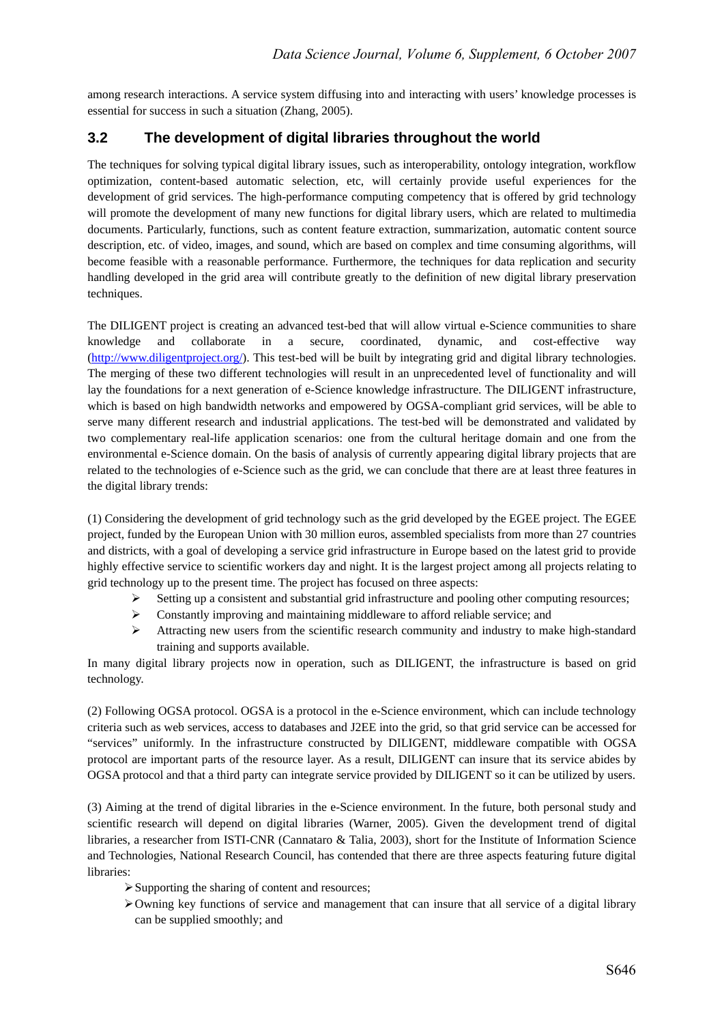among research interactions. A service system diffusing into and interacting with users' knowledge processes is essential for success in such a situation (Zhang, 2005).

# **3.2 The development of digital libraries throughout the world**

The techniques for solving typical digital library issues, such as interoperability, ontology integration, workflow optimization, content-based automatic selection, etc, will certainly provide useful experiences for the development of grid services. The high-performance computing competency that is offered by grid technology will promote the development of many new functions for digital library users, which are related to multimedia documents. Particularly, functions, such as content feature extraction, summarization, automatic content source description, etc. of video, images, and sound, which are based on complex and time consuming algorithms, will become feasible with a reasonable performance. Furthermore, the techniques for data replication and security handling developed in the grid area will contribute greatly to the definition of new digital library preservation techniques.

The DILIGENT project is creating an advanced test-bed that will allow virtual e-Science communities to share knowledge and collaborate in a secure, coordinated, dynamic, and cost-effective way (http://www.diligentproject.org/). This test-bed will be built by integrating grid and digital library technologies. The merging of these two different technologies will result in an unprecedented level of functionality and will lay the foundations for a next generation of e-Science knowledge infrastructure. The DILIGENT infrastructure, which is based on high bandwidth networks and empowered by OGSA-compliant grid services, will be able to serve many different research and industrial applications. The test-bed will be demonstrated and validated by two complementary real-life application scenarios: one from the cultural heritage domain and one from the environmental e-Science domain. On the basis of analysis of currently appearing digital library projects that are related to the technologies of e-Science such as the grid, we can conclude that there are at least three features in the digital library trends:

(1) Considering the development of grid technology such as the grid developed by the EGEE project. The EGEE project, funded by the European Union with 30 million euros, assembled specialists from more than 27 countries and districts, with a goal of developing a service grid infrastructure in Europe based on the latest grid to provide highly effective service to scientific workers day and night. It is the largest project among all projects relating to grid technology up to the present time. The project has focused on three aspects:

- $\triangleright$  Setting up a consistent and substantial grid infrastructure and pooling other computing resources;
- $\triangleright$  Constantly improving and maintaining middleware to afford reliable service; and
- $\blacktriangleright$  Attracting new users from the scientific research community and industry to make high-standard training and supports available.

In many digital library projects now in operation, such as DILIGENT, the infrastructure is based on grid technology.

(2) Following OGSA protocol. OGSA is a protocol in the e-Science environment, which can include technology criteria such as web services, access to databases and J2EE into the grid, so that grid service can be accessed for "services" uniformly. In the infrastructure constructed by DILIGENT, middleware compatible with OGSA protocol are important parts of the resource layer. As a result, DILIGENT can insure that its service abides by OGSA protocol and that a third party can integrate service provided by DILIGENT so it can be utilized by users.

(3) Aiming at the trend of digital libraries in the e-Science environment. In the future, both personal study and scientific research will depend on digital libraries (Warner, 2005). Given the development trend of digital libraries, a researcher from ISTI-CNR (Cannataro & Talia, 2003), short for the Institute of Information Science and Technologies, National Research Council, has contended that there are three aspects featuring future digital libraries:

- $\triangleright$  Supporting the sharing of content and resources;
- ¾Owning key functions of service and management that can insure that all service of a digital library can be supplied smoothly; and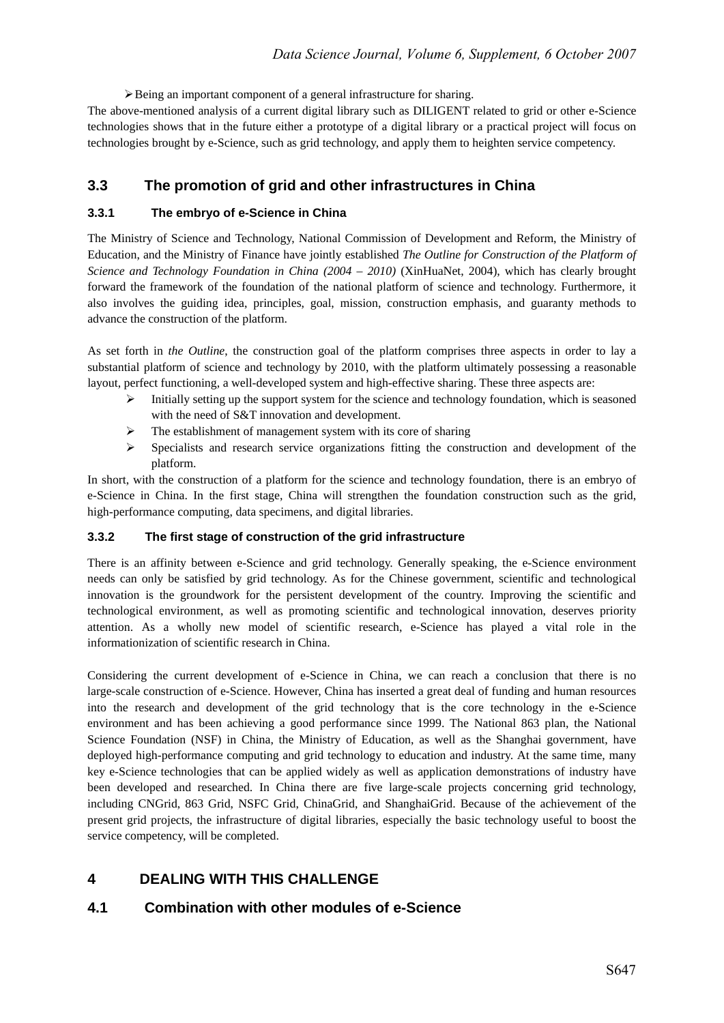¾Being an important component of a general infrastructure for sharing.

The above-mentioned analysis of a current digital library such as DILIGENT related to grid or other e-Science technologies shows that in the future either a prototype of a digital library or a practical project will focus on technologies brought by e-Science, such as grid technology, and apply them to heighten service competency.

# **3.3 The promotion of grid and other infrastructures in China**

#### **3.3.1 The embryo of e-Science in China**

The Ministry of Science and Technology, National Commission of Development and Reform, the Ministry of Education, and the Ministry of Finance have jointly established *The Outline for Construction of the Platform of Science and Technology Foundation in China (2004 – 2010)* (XinHuaNet, 2004), which has clearly brought forward the framework of the foundation of the national platform of science and technology. Furthermore, it also involves the guiding idea, principles, goal, mission, construction emphasis, and guaranty methods to advance the construction of the platform.

As set forth in *the Outline*, the construction goal of the platform comprises three aspects in order to lay a substantial platform of science and technology by 2010, with the platform ultimately possessing a reasonable layout, perfect functioning, a well-developed system and high-effective sharing. These three aspects are:

- Initially setting up the support system for the science and technology foundation, which is seasoned with the need of S&T innovation and development.
- $\triangleright$  The establishment of management system with its core of sharing
- $\triangleright$  Specialists and research service organizations fitting the construction and development of the platform.

In short, with the construction of a platform for the science and technology foundation, there is an embryo of e-Science in China. In the first stage, China will strengthen the foundation construction such as the grid, high-performance computing, data specimens, and digital libraries.

#### **3.3.2 The first stage of construction of the grid infrastructure**

There is an affinity between e-Science and grid technology. Generally speaking, the e-Science environment needs can only be satisfied by grid technology. As for the Chinese government, scientific and technological innovation is the groundwork for the persistent development of the country. Improving the scientific and technological environment, as well as promoting scientific and technological innovation, deserves priority attention. As a wholly new model of scientific research, e-Science has played a vital role in the informationization of scientific research in China.

Considering the current development of e-Science in China, we can reach a conclusion that there is no large-scale construction of e-Science. However, China has inserted a great deal of funding and human resources into the research and development of the grid technology that is the core technology in the e-Science environment and has been achieving a good performance since 1999. The National 863 plan, the National Science Foundation (NSF) in China, the Ministry of Education, as well as the Shanghai government, have deployed high-performance computing and grid technology to education and industry. At the same time, many key e-Science technologies that can be applied widely as well as application demonstrations of industry have been developed and researched. In China there are five large-scale projects concerning grid technology, including CNGrid, 863 Grid, NSFC Grid, ChinaGrid, and ShanghaiGrid. Because of the achievement of the present grid projects, the infrastructure of digital libraries, especially the basic technology useful to boost the service competency, will be completed.

# **4 DEALING WITH THIS CHALLENGE**

## **4.1 Combination with other modules of e-Science**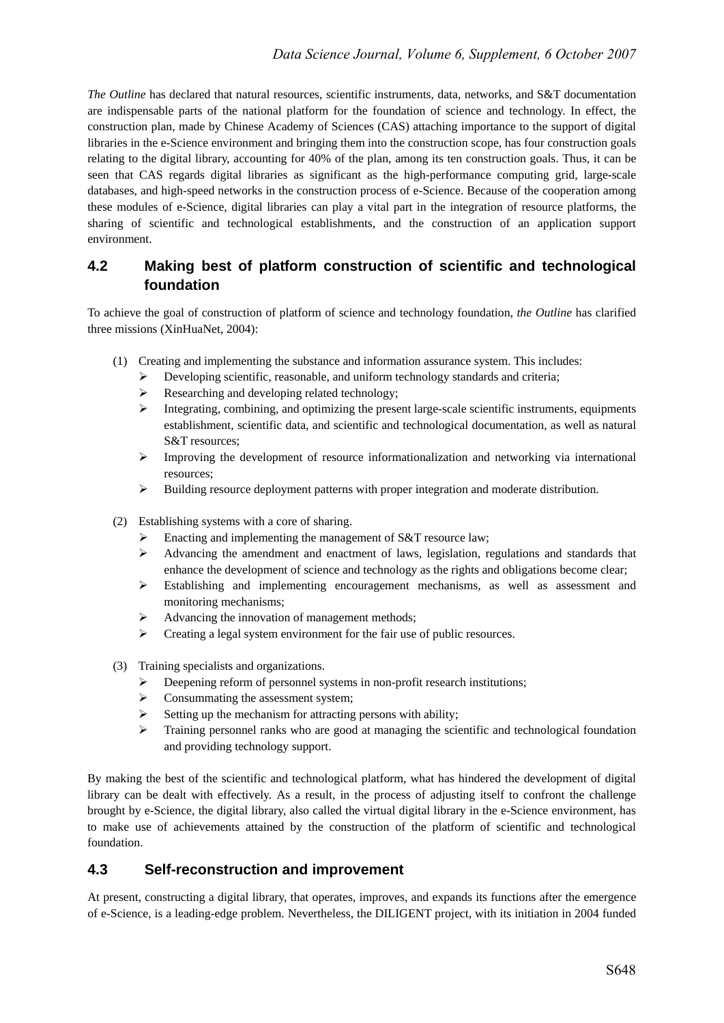*The Outline* has declared that natural resources, scientific instruments, data, networks, and S&T documentation are indispensable parts of the national platform for the foundation of science and technology. In effect, the construction plan, made by Chinese Academy of Sciences (CAS) attaching importance to the support of digital libraries in the e-Science environment and bringing them into the construction scope, has four construction goals relating to the digital library, accounting for 40% of the plan, among its ten construction goals. Thus, it can be seen that CAS regards digital libraries as significant as the high-performance computing grid, large-scale databases, and high-speed networks in the construction process of e-Science. Because of the cooperation among these modules of e-Science, digital libraries can play a vital part in the integration of resource platforms, the sharing of scientific and technological establishments, and the construction of an application support environment.

# **4.2 Making best of platform construction of scientific and technological foundation**

To achieve the goal of construction of platform of science and technology foundation, *the Outline* has clarified three missions (XinHuaNet, 2004):

- (1) Creating and implementing the substance and information assurance system. This includes:
	- $\triangleright$  Developing scientific, reasonable, and uniform technology standards and criteria;
	- ¾ Researching and developing related technology;
	- $\triangleright$  Integrating, combining, and optimizing the present large-scale scientific instruments, equipments establishment, scientific data, and scientific and technological documentation, as well as natural S&T resources;
	- $\triangleright$  Improving the development of resource informationalization and networking via international resources;
	- ¾ Building resource deployment patterns with proper integration and moderate distribution.
- (2) Establishing systems with a core of sharing.
	- Enacting and implementing the management of S&T resource law;
	- $\triangleright$  Advancing the amendment and enactment of laws, legislation, regulations and standards that enhance the development of science and technology as the rights and obligations become clear;
	- ¾ Establishing and implementing encouragement mechanisms, as well as assessment and monitoring mechanisms;
	- $\blacktriangleright$  Advancing the innovation of management methods;
	- $\triangleright$  Creating a legal system environment for the fair use of public resources.
- (3) Training specialists and organizations.
	- Deepening reform of personnel systems in non-profit research institutions;
	- $\triangleright$  Consummating the assessment system;
	- $\triangleright$  Setting up the mechanism for attracting persons with ability;
	- $\triangleright$  Training personnel ranks who are good at managing the scientific and technological foundation and providing technology support.

By making the best of the scientific and technological platform, what has hindered the development of digital library can be dealt with effectively. As a result, in the process of adjusting itself to confront the challenge brought by e-Science, the digital library, also called the virtual digital library in the e-Science environment, has to make use of achievements attained by the construction of the platform of scientific and technological foundation.

# **4.3 Self-reconstruction and improvement**

At present, constructing a digital library, that operates, improves, and expands its functions after the emergence of e-Science, is a leading-edge problem. Nevertheless, the DILIGENT project, with its initiation in 2004 funded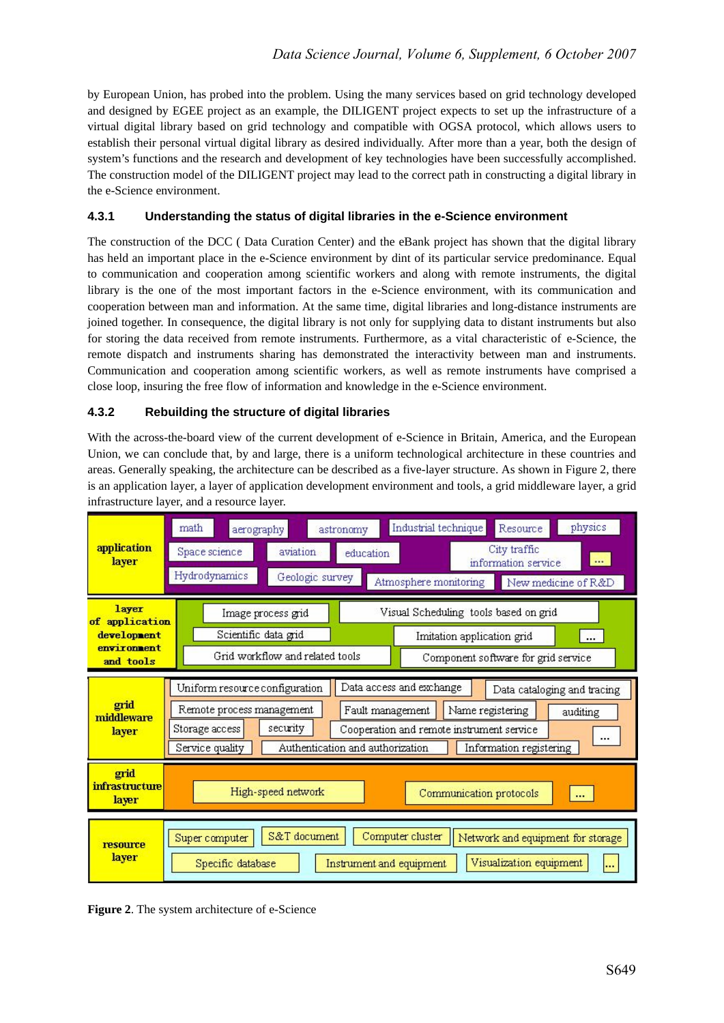by European Union, has probed into the problem. Using the many services based on grid technology developed and designed by EGEE project as an example, the DILIGENT project expects to set up the infrastructure of a virtual digital library based on grid technology and compatible with OGSA protocol, which allows users to establish their personal virtual digital library as desired individually. After more than a year, both the design of system's functions and the research and development of key technologies have been successfully accomplished. The construction model of the DILIGENT project may lead to the correct path in constructing a digital library in the e-Science environment.

#### **4.3.1 Understanding the status of digital libraries in the e-Science environment**

The construction of the DCC ( Data Curation Center) and the eBank project has shown that the digital library has held an important place in the e-Science environment by dint of its particular service predominance. Equal to communication and cooperation among scientific workers and along with remote instruments, the digital library is the one of the most important factors in the e-Science environment, with its communication and cooperation between man and information. At the same time, digital libraries and long-distance instruments are joined together. In consequence, the digital library is not only for supplying data to distant instruments but also for storing the data received from remote instruments. Furthermore, as a vital characteristic of e-Science, the remote dispatch and instruments sharing has demonstrated the interactivity between man and instruments. Communication and cooperation among scientific workers, as well as remote instruments have comprised a close loop, insuring the free flow of information and knowledge in the e-Science environment.

#### **4.3.2 Rebuilding the structure of digital libraries**

With the across-the-board view of the current development of e-Science in Britain, America, and the European Union, we can conclude that, by and large, there is a uniform technological architecture in these countries and areas. Generally speaking, the architecture can be described as a five-layer structure. As shown in Figure 2, there is an application layer, a layer of application development environment and tools, a grid middleware layer, a grid infrastructure layer, and a resource layer.



**Figure 2**. The system architecture of e-Science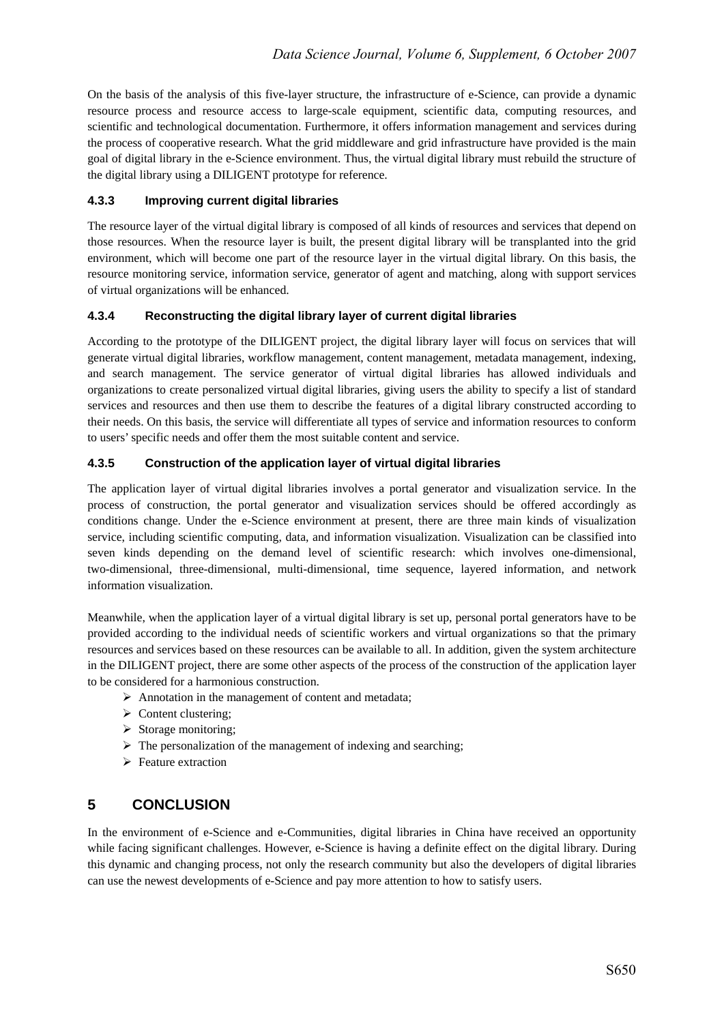On the basis of the analysis of this five-layer structure, the infrastructure of e-Science, can provide a dynamic resource process and resource access to large-scale equipment, scientific data, computing resources, and scientific and technological documentation. Furthermore, it offers information management and services during the process of cooperative research. What the grid middleware and grid infrastructure have provided is the main goal of digital library in the e-Science environment. Thus, the virtual digital library must rebuild the structure of the digital library using a DILIGENT prototype for reference.

#### **4.3.3 Improving current digital libraries**

The resource layer of the virtual digital library is composed of all kinds of resources and services that depend on those resources. When the resource layer is built, the present digital library will be transplanted into the grid environment, which will become one part of the resource layer in the virtual digital library. On this basis, the resource monitoring service, information service, generator of agent and matching, along with support services of virtual organizations will be enhanced.

### **4.3.4 Reconstructing the digital library layer of current digital libraries**

According to the prototype of the DILIGENT project, the digital library layer will focus on services that will generate virtual digital libraries, workflow management, content management, metadata management, indexing, and search management. The service generator of virtual digital libraries has allowed individuals and organizations to create personalized virtual digital libraries, giving users the ability to specify a list of standard services and resources and then use them to describe the features of a digital library constructed according to their needs. On this basis, the service will differentiate all types of service and information resources to conform to users' specific needs and offer them the most suitable content and service.

#### **4.3.5 Construction of the application layer of virtual digital libraries**

The application layer of virtual digital libraries involves a portal generator and visualization service. In the process of construction, the portal generator and visualization services should be offered accordingly as conditions change. Under the e-Science environment at present, there are three main kinds of visualization service, including scientific computing, data, and information visualization. Visualization can be classified into seven kinds depending on the demand level of scientific research: which involves one-dimensional, two-dimensional, three-dimensional, multi-dimensional, time sequence, layered information, and network information visualization.

Meanwhile, when the application layer of a virtual digital library is set up, personal portal generators have to be provided according to the individual needs of scientific workers and virtual organizations so that the primary resources and services based on these resources can be available to all. In addition, given the system architecture in the DILIGENT project, there are some other aspects of the process of the construction of the application layer to be considered for a harmonious construction.

- $\triangleright$  Annotation in the management of content and metadata;
- $\triangleright$  Content clustering;
- $\triangleright$  Storage monitoring;
- $\triangleright$  The personalization of the management of indexing and searching;
- $\triangleright$  Feature extraction

# **5 CONCLUSION**

In the environment of e-Science and e-Communities, digital libraries in China have received an opportunity while facing significant challenges. However, e-Science is having a definite effect on the digital library. During this dynamic and changing process, not only the research community but also the developers of digital libraries can use the newest developments of e-Science and pay more attention to how to satisfy users.